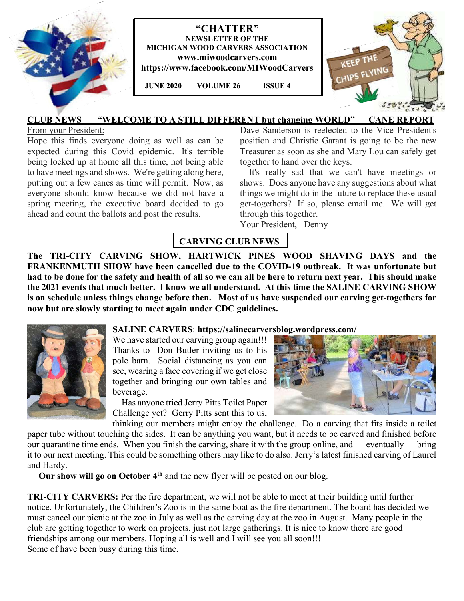



 **JUNE 2020 VOLUME 26 ISSUE 4**



### **CLUB NEWS "WELCOME TO A STILL DIFFERENT but changing WORLD" CANE REPORT**

From your President:

Hope this finds everyone doing as well as can be expected during this Covid epidemic. It's terrible being locked up at home all this time, not being able to have meetings and shows. We're getting along here, putting out a few canes as time will permit. Now, as everyone should know because we did not have a spring meeting, the executive board decided to go ahead and count the ballots and post the results.

Dave Sanderson is reelected to the Vice President's position and Christie Garant is going to be the new Treasurer as soon as she and Mary Lou can safely get together to hand over the keys.

 It's really sad that we can't have meetings or shows. Does anyone have any suggestions about what things we might do in the future to replace these usual get-togethers? If so, please email me. We will get through this together.

Your President, Denny

## **CARVING CLUB NEWS**

**The TRI-CITY CARVING SHOW, HARTWICK PINES WOOD SHAVING DAYS and the FRANKENMUTH SHOW have been cancelled due to the COVID-19 outbreak. It was unfortunate but had to be done for the safety and health of all so we can all be here to return next year. This should make the 2021 events that much better. I know we all understand. At this time the SALINE CARVING SHOW is on schedule unless things change before then. Most of us have suspended our carving get-togethers for now but are slowly starting to meet again under CDC guidelines.** 



### **SALINE CARVERS**: **https://salinecarversblog.wordpress.com/**

We have started our carving group again!!! Thanks to Don Butler inviting us to his pole barn. Social distancing as you can see, wearing a face covering if we get close together and bringing our own tables and beverage.

 Has anyone tried Jerry Pitts Toilet Paper Challenge yet?Gerry Pitts sent this to us,



thinking our members might enjoy the challenge. Do a carving that fits inside a toilet paper tube without touching the sides. It can be anything you want, but it needs to be carved and finished before our quarantine time ends. When you finish the carving, share it with the group online, and — eventually — bring it to our next meeting. This could be something others may like to do also. Jerry's latest finished carving of Laurel and Hardy.

**Our show will go on October 4th** and the new flyer will be posted on our blog.

**TRI-CITY CARVERS:** Per the fire department, we will not be able to meet at their building until further notice. Unfortunately, the Children's Zoo is in the same boat as the fire department. The board has decided we must cancel our picnic at the zoo in July as well as the carving day at the zoo in August. Many people in the club are getting together to work on projects, just not large gatherings. It is nice to know there are good friendships among our members. Hoping all is well and I will see you all soon!!! Some of have been busy during this time.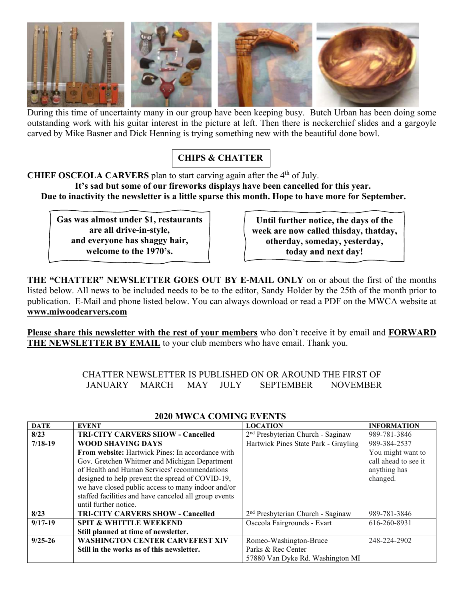

During this time of uncertainty many in our group have been keeping busy. Butch Urban has been doing some outstanding work with his guitar interest in the picture at left. Then there is neckerchief slides and a gargoyle carved by Mike Basner and Dick Henning is trying something new with the beautiful done bowl.

# **CHIPS & CHATTER**

#### **CHIEF OSCEOLA CARVERS** plan to start carving again after the 4<sup>th</sup> of July.  **It's sad but some of our fireworks displays have been cancelled for this year.**

 **Due to inactivity the newsletter is a little sparse this month. Hope to have more for September.** 

**Gas was almost under \$1, restaurants are all drive-in-style, and everyone has shaggy hair, welcome to the 1970's.** 

**Until further notice, the days of the week are now called thisday, thatday, otherday, someday, yesterday, today and next day!** 

**THE "CHATTER" NEWSLETTER GOES OUT BY E-MAIL ONLY** on or about the first of the months listed below. All news to be included needs to be to the editor, Sandy Holder by the 25th of the month prior to publication. E-Mail and phone listed below. You can always download or read a PDF on the MWCA website at **www.miwoodcarvers.com**

**Please share this newsletter with the rest of your members** who don't receive it by email and **FORWARD THE NEWSLETTER BY EMAIL** to your club members who have email. Thank you.

> CHATTER NEWSLETTER IS PUBLISHED ON OR AROUND THE FIRST OF JANUARY MARCH MAY JULY SEPTEMBER NOVEMBER

| <b>DATE</b> | <b>EVENT</b>                                          | <b>LOCATION</b>                               | <b>INFORMATION</b>   |
|-------------|-------------------------------------------------------|-----------------------------------------------|----------------------|
| 8/23        | <b>TRI-CITY CARVERS SHOW - Cancelled</b>              | 2 <sup>nd</sup> Presbyterian Church - Saginaw | 989-781-3846         |
| $7/18-19$   | <b>WOOD SHAVING DAYS</b>                              | Hartwick Pines State Park - Grayling          | 989-384-2537         |
|             | From website: Hartwick Pines: In accordance with      |                                               | You might want to    |
|             | Gov. Gretchen Whitmer and Michigan Department         |                                               | call ahead to see it |
|             | of Health and Human Services' recommendations         |                                               | anything has         |
|             | designed to help prevent the spread of COVID-19,      |                                               | changed.             |
|             | we have closed public access to many indoor and/or    |                                               |                      |
|             | staffed facilities and have canceled all group events |                                               |                      |
|             | until further notice.                                 |                                               |                      |
| 8/23        | <b>TRI-CITY CARVERS SHOW - Cancelled</b>              | 2 <sup>nd</sup> Presbyterian Church - Saginaw | 989-781-3846         |
| $9/17-19$   | <b>SPIT &amp; WHITTLE WEEKEND</b>                     | Osceola Fairgrounds - Evart                   | 616-260-8931         |
|             | Still planned at time of newsletter.                  |                                               |                      |
| $9/25 - 26$ | <b>WASHINGTON CENTER CARVEFEST XIV</b>                | Romeo-Washington-Bruce                        | 248-224-2902         |
|             | Still in the works as of this newsletter.             | Parks & Rec Center                            |                      |
|             |                                                       | 57880 Van Dyke Rd. Washington MI              |                      |

### **2020 MWCA COMING EVENTS**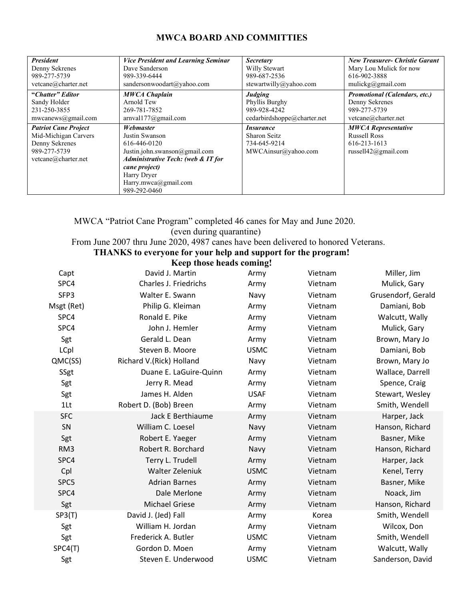### **MWCA BOARD AND COMMITTIES**

| <b>President</b>            | <b>Vice President and Learning Seminar</b>    | <b>Secretary</b>            | <b>New Treasurer- Christie Garant</b> |
|-----------------------------|-----------------------------------------------|-----------------------------|---------------------------------------|
| Denny Sekrenes              | Dave Sanderson                                | Willy Stewart               | Mary Lou Mulick for now               |
| 989-277-5739                | 989-339-6444                                  | 989-687-2536                | 616-902-3888                          |
| vetcane@charter.net         | sandersonwoodart@yahoo.com                    | stewartwilly@yahoo.com      | mulickg@gmail.com                     |
| "Chatter" Editor            | <b>MWCA Chaplain</b>                          | Judging                     | <b>Promotional (Calendars, etc.)</b>  |
| Sandy Holder                | Arnold Tew                                    | Phyllis Burghy              | Denny Sekrenes                        |
| 231-250-3855                | 269-781-7852                                  | 989-928-4242                | 989-277-5739                          |
| mwcanews@gmail.com          | arnval177@gmail.com                           | cedarbirdshoppe@charter.net | vetcane@charter.net                   |
|                             |                                               |                             |                                       |
| <b>Patriot Cane Project</b> | Webmaster                                     | <i>Insurance</i>            | <b>MWCA Representative</b>            |
| Mid-Michigan Carvers        | Justin Swanson                                | <b>Sharon Seitz</b>         | <b>Russell Ross</b>                   |
| Denny Sekrenes              | 616-446-0120                                  | 734-645-9214                | 616-213-1613                          |
| 989-277-5739                | Justin.john.swanson@gmail.com                 | MWCAinsur@yahoo.com         | russell $42$ @gmail.com               |
| vetcane@charter.net         | <b>Administrative Tech: (web &amp; IT for</b> |                             |                                       |
|                             | cane project)                                 |                             |                                       |
|                             | Harry Dryer                                   |                             |                                       |
|                             | Harry.mwca@gmail.com                          |                             |                                       |

MWCA "Patriot Cane Program" completed 46 canes for May and June 2020. (even during quarantine) From June 2007 thru June 2020, 4987 canes have been delivered to honored Veterans.

**THANKS to everyone for your help and support for the program!**

| $\mathbf{u}$ , one for your neep and support |                          |  |
|----------------------------------------------|--------------------------|--|
|                                              | Keep those heads coming! |  |

| Capt       | David J. Martin          | Army        | Vietnam | Miller, Jim        |
|------------|--------------------------|-------------|---------|--------------------|
| SPC4       | Charles J. Friedrichs    | Army        | Vietnam | Mulick, Gary       |
| SFP3       | Walter E. Swann          | Navy        | Vietnam | Grusendorf, Gerald |
| Msgt (Ret) | Philip G. Kleiman        | Army        | Vietnam | Damiani, Bob       |
| SPC4       | Ronald E. Pike           | Army        | Vietnam | Walcutt, Wally     |
| SPC4       | John J. Hemler           | Army        | Vietnam | Mulick, Gary       |
| Sgt        | Gerald L. Dean           | Army        | Vietnam | Brown, Mary Jo     |
| LCpl       | Steven B. Moore          | <b>USMC</b> | Vietnam | Damiani, Bob       |
| QMC(SS)    | Richard V.(Rick) Holland | Navy        | Vietnam | Brown, Mary Jo     |
| SSgt       | Duane E. LaGuire-Quinn   | Army        | Vietnam | Wallace, Darrell   |
| Sgt        | Jerry R. Mead            | Army        | Vietnam | Spence, Craig      |
| Sgt        | James H. Alden           | <b>USAF</b> | Vietnam | Stewart, Wesley    |
| $1$ Lt     | Robert D. (Bob) Breen    | Army        | Vietnam | Smith, Wendell     |
| <b>SFC</b> | Jack E Berthiaume        | Army        | Vietnam | Harper, Jack       |
| SN         | William C. Loesel        | Navy        | Vietnam | Hanson, Richard    |
| Sgt        | Robert E. Yaeger         | Army        | Vietnam | Basner, Mike       |
| RM3        | Robert R. Borchard       | Navy        | Vietnam | Hanson, Richard    |
| SPC4       | Terry L. Trudell         | Army        | Vietnam | Harper, Jack       |
| Cpl        | <b>Walter Zeleniuk</b>   | <b>USMC</b> | Vietnam | Kenel, Terry       |
| SPC5       | <b>Adrian Barnes</b>     | Army        | Vietnam | Basner, Mike       |
| SPC4       | Dale Merlone             | Army        | Vietnam | Noack, Jim         |
| Sgt        | <b>Michael Griese</b>    | Army        | Vietnam | Hanson, Richard    |
| SP3(T)     | David J. (Jed) Fall      | Army        | Korea   | Smith, Wendell     |
| Sgt        | William H. Jordan        | Army        | Vietnam | Wilcox, Don        |
| Sgt        | Frederick A. Butler      | <b>USMC</b> | Vietnam | Smith, Wendell     |
| SPC4(T)    | Gordon D. Moen           | Army        | Vietnam | Walcutt, Wally     |
| Sgt        | Steven E. Underwood      | <b>USMC</b> | Vietnam | Sanderson, David   |